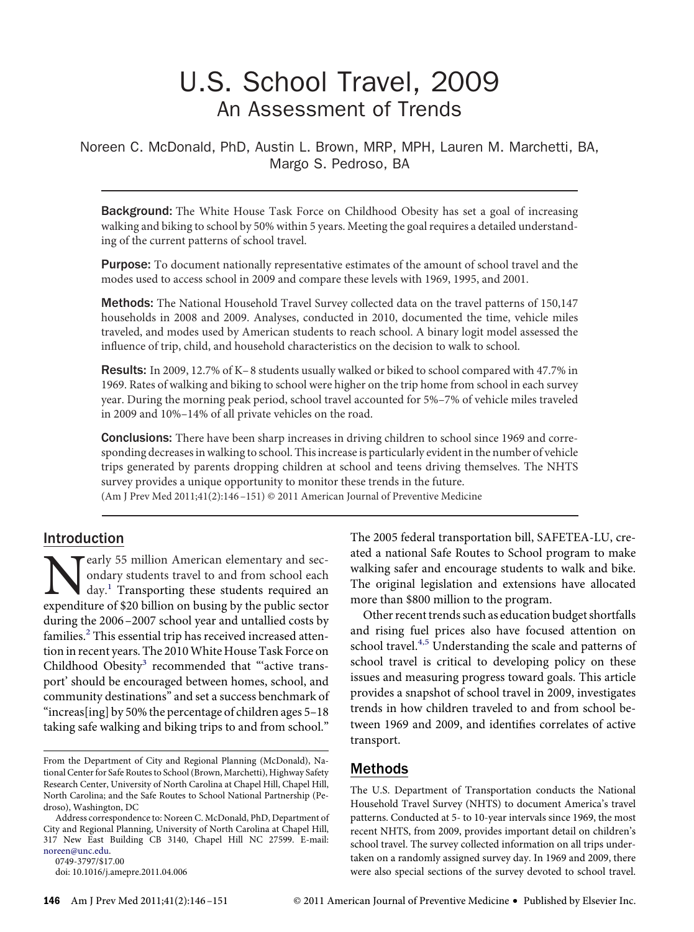# U.S. School Travel, 2009 An Assessment of Trends

Noreen C. McDonald, PhD, Austin L. Brown, MRP, MPH, Lauren M. Marchetti, BA, Margo S. Pedroso, BA

Background: The White House Task Force on Childhood Obesity has set a goal of increasing walking and biking to school by 50% within 5 years. Meeting the goal requires a detailed understanding of the current patterns of school travel.

Purpose: To document nationally representative estimates of the amount of school travel and the modes used to access school in 2009 and compare these levels with 1969, 1995, and 2001.

Methods: The National Household Travel Survey collected data on the travel patterns of 150,147 households in 2008 and 2009. Analyses, conducted in 2010, documented the time, vehicle miles traveled, and modes used by American students to reach school. A binary logit model assessed the influence of trip, child, and household characteristics on the decision to walk to school.

Results: In 2009, 12.7% of K-8 students usually walked or biked to school compared with 47.7% in 1969. Rates of walking and biking to school were higher on the trip home from school in each survey year. During the morning peak period, school travel accounted for 5%–7% of vehicle miles traveled in 2009 and 10%–14% of all private vehicles on the road.

**Conclusions:** There have been sharp increases in driving children to school since 1969 and corresponding decreases in walking to school. This increase is particularly evident in the number of vehicle trips generated by parents dropping children at school and teens driving themselves. The NHTS survey provides a unique opportunity to monitor these trends in the future.

(Am J Prev Med 2011;41(2):146 –151) © 2011 American Journal of Preventive Medicine

### Introduction

**Nearly 55 million American elementary and secondary students travel to and from school each day.**<sup>1</sup> Transporting these students required an expenditure of \$20 billion on busing by the public sector ondary students travel to and from school each day.<sup>1</sup> Transporting these students required an expenditure of \$20 billion on busing by the public sector during the 2006 –2007 school year and untallied costs by families. $2$  This essential trip has received increased attention in recent years. The 2010White House Task Force on Childhood Obesity<sup>3</sup> recommended that "active transport' should be encouraged between homes, school, and community destinations" and set a success benchmark of "increas[ing] by 50% the percentage of children ages 5–18 taking safe walking and biking trips to and from school."

0749-3797/\$17.00

The 2005 federal transportation bill, SAFETEA-LU, created a national Safe Routes to School program to make walking safer and encourage students to walk and bike. The original legislation and extensions have allocated more than \$800 million to the program.

Other recent trends such as education budget shortfalls and rising fuel prices also have focused attention on school travel.<sup>4,5</sup> Understanding the scale and patterns of school travel is critical to developing policy on these issues and measuring progress toward goals. This article provides a snapshot of school travel in 2009, investigates trends in how children traveled to and from school between 1969 and 2009, and identifıes correlates of active transport.

#### Methods

The U.S. Department of Transportation conducts the National Household Travel Survey (NHTS) to document America's travel patterns. Conducted at 5- to 10-year intervals since 1969, the most recent NHTS, from 2009, provides important detail on children's school travel. The survey collected information on all trips undertaken on a randomly assigned survey day. In 1969 and 2009, there were also special sections of the survey devoted to school travel.

From the Department of City and Regional Planning (McDonald), National Center for Safe Routes to School (Brown, Marchetti), Highway Safety Research Center, University of North Carolina at Chapel Hill, Chapel Hill, North Carolina; and the Safe Routes to School National Partnership (Pedroso), Washington, DC

Address correspondence to: Noreen C. McDonald, PhD, Department of City and Regional Planning, University of North Carolina at Chapel Hill, 317 New East Building CB 3140, Chapel Hill NC 27599. E-mail: [noreen@unc.edu.](mailto:noreen@unc.edu)

doi: 10.1016/j.amepre.2011.04.006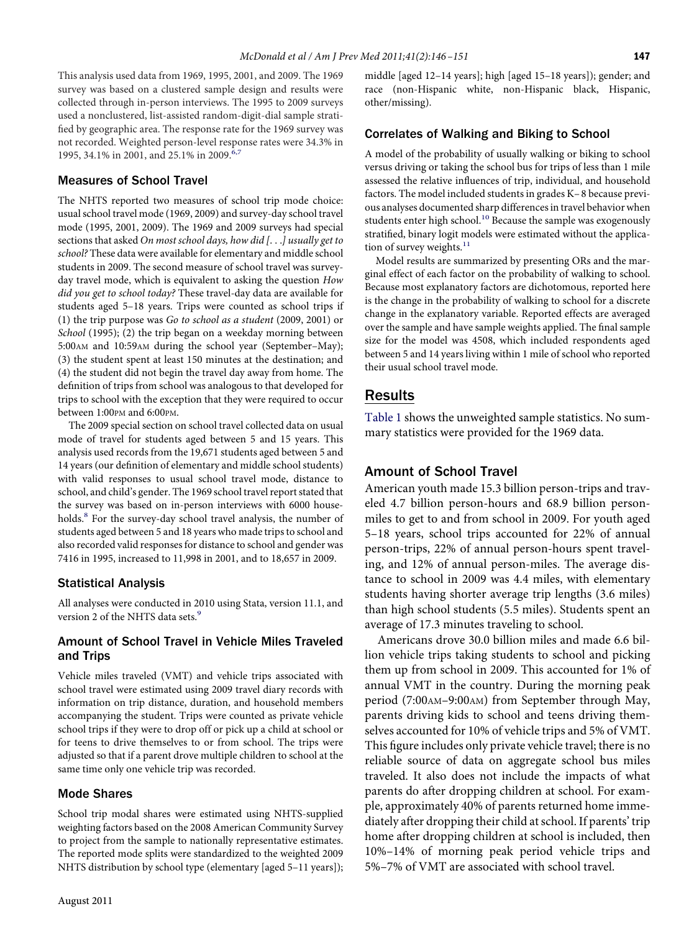This analysis used data from 1969, 1995, 2001, and 2009. The 1969 survey was based on a clustered sample design and results were collected through in-person interviews. The 1995 to 2009 surveys used a nonclustered, list-assisted random-digit-dial sample stratifıed by geographic area. The response rate for the 1969 survey was not recorded. Weighted person-level response rates were 34.3% in 1995, 34.1% in 2001, and 25.1% in 2009.<sup>6,7</sup>

#### Measures of School Travel

The NHTS reported two measures of school trip mode choice: usual school travel mode (1969, 2009) and survey-day school travel mode (1995, 2001, 2009). The 1969 and 2009 surveys had special sections that asked *On most school days, how did [*...*] usually get to school?* These data were available for elementary and middle school students in 2009. The second measure of school travel was surveyday travel mode, which is equivalent to asking the question *How did you get to school today?* These travel-day data are available for students aged 5–18 years. Trips were counted as school trips if (1) the trip purpose was *Go to school as a student* (2009, 2001) or *School* (1995); (2) the trip began on a weekday morning between 5:00AM and 10:59AM during the school year (September–May); (3) the student spent at least 150 minutes at the destination; and (4) the student did not begin the travel day away from home. The defınition of trips from school was analogous to that developed for trips to school with the exception that they were required to occur between 1:00PM and 6:00PM.

The 2009 special section on school travel collected data on usual mode of travel for students aged between 5 and 15 years. This analysis used records from the 19,671 students aged between 5 and 14 years (our defınition of elementary and middle school students) with valid responses to usual school travel mode, distance to school, and child's gender. The 1969 school travel report stated that the survey was based on in-person interviews with 6000 house-holds.<sup>[8](#page-5-5)</sup> For the survey-day school travel analysis, the number of students aged between 5 and 18 years who made trips to school and also recorded valid responses for distance to school and gender was 7416 in 1995, increased to 11,998 in 2001, and to 18,657 in 2009.

#### Statistical Analysis

All analyses were conducted in 2010 using Stata, version 11.1, and version 2 of the NHTS data sets.<sup>9</sup>

#### Amount of School Travel in Vehicle Miles Traveled and Trips

Vehicle miles traveled (VMT) and vehicle trips associated with school travel were estimated using 2009 travel diary records with information on trip distance, duration, and household members accompanying the student. Trips were counted as private vehicle school trips if they were to drop off or pick up a child at school or for teens to drive themselves to or from school. The trips were adjusted so that if a parent drove multiple children to school at the same time only one vehicle trip was recorded.

#### Mode Shares

School trip modal shares were estimated using NHTS-supplied weighting factors based on the 2008 American Community Survey to project from the sample to nationally representative estimates. The reported mode splits were standardized to the weighted 2009 NHTS distribution by school type (elementary [aged 5–11 years]); middle [aged 12–14 years]; high [aged 15–18 years]); gender; and race (non-Hispanic white, non-Hispanic black, Hispanic, other/missing).

### Correlates of Walking and Biking to School

A model of the probability of usually walking or biking to school versus driving or taking the school bus for trips of less than 1 mile assessed the relative influences of trip, individual, and household factors. The model included students in grades K– 8 because previous analyses documented sharp differences in travel behavior when students enter high school.<sup>[10](#page-5-7)</sup> Because the sample was exogenously stratifıed, binary logit models were estimated without the application of survey weights.<sup>11</sup>

Model results are summarized by presenting ORs and the marginal effect of each factor on the probability of walking to school. Because most explanatory factors are dichotomous, reported here is the change in the probability of walking to school for a discrete change in the explanatory variable. Reported effects are averaged over the sample and have sample weights applied. The fınal sample size for the model was 4508, which included respondents aged between 5 and 14 years living within 1 mile of school who reported their usual school travel mode.

#### Results

[Table 1](#page-2-0) shows the unweighted sample statistics. No summary statistics were provided for the 1969 data.

#### Amount of School Travel

American youth made 15.3 billion person-trips and traveled 4.7 billion person-hours and 68.9 billion personmiles to get to and from school in 2009. For youth aged 5–18 years, school trips accounted for 22% of annual person-trips, 22% of annual person-hours spent traveling, and 12% of annual person-miles. The average distance to school in 2009 was 4.4 miles, with elementary students having shorter average trip lengths (3.6 miles) than high school students (5.5 miles). Students spent an average of 17.3 minutes traveling to school.

Americans drove 30.0 billion miles and made 6.6 billion vehicle trips taking students to school and picking them up from school in 2009. This accounted for 1% of annual VMT in the country. During the morning peak period (7:00AM–9:00AM) from September through May, parents driving kids to school and teens driving themselves accounted for 10% of vehicle trips and 5% of VMT. This figure includes only private vehicle travel; there is no reliable source of data on aggregate school bus miles traveled. It also does not include the impacts of what parents do after dropping children at school. For example, approximately 40% of parents returned home immediately after dropping their child at school. If parents' trip home after dropping children at school is included, then 10%–14% of morning peak period vehicle trips and 5%–7% of VMT are associated with school travel.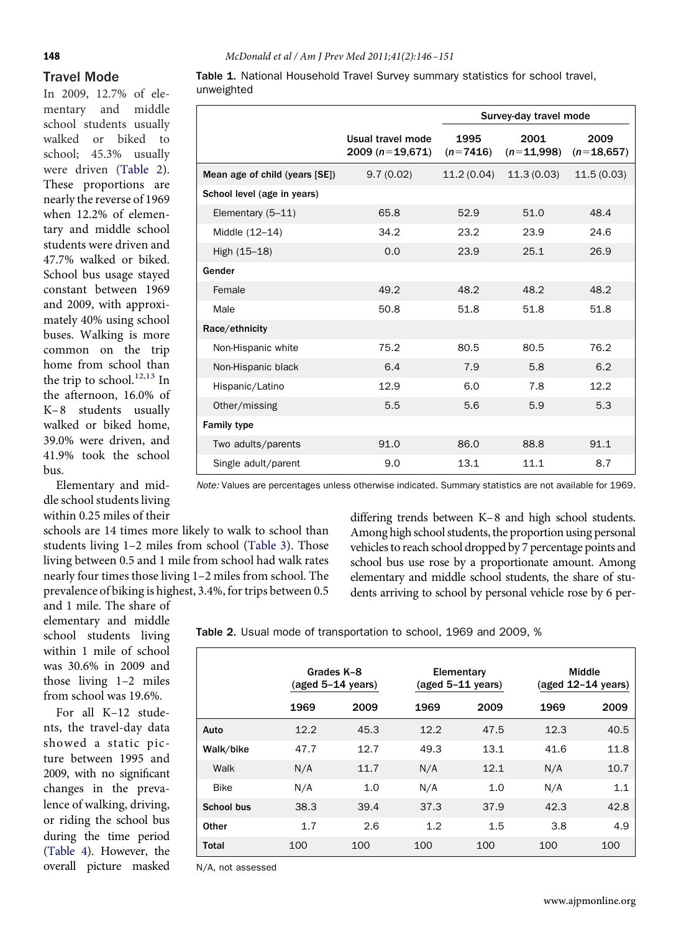**148** *McDonald et al / Am J Prev Med 2011;41(2):146 –151*

## Travel Mode In 2009, 12.7% of ele-

mentary and middle school students usually walked or biked to school; 45.3% usually were driven [\(Table 2\)](#page-2-1). These proportions are nearly the reverse of 1969 when 12.2% of elementary and middle school students were driven and 47.7% walked or biked. School bus usage stayed constant between 1969 and 2009, with approximately 40% using school buses. Walking is more common on the trip home from school than the trip to school.<sup>[12,13](#page-5-9)</sup> In the afternoon, 16.0% of K– 8 students usually walked or biked home, 39.0% were driven, and 41.9% took the school bus.

Elementary and middle school students living within 0.25 miles of their

and 1 mile. The share of elementary and middle school students living within 1 mile of school was 30.6% in 2009 and those living 1–2 miles from school was 19.6%. For all K–12 students, the travel-day data showed a static picture between 1995 and 2009, with no signifıcant changes in the prevalence of walking, driving, or riding the school bus during the time period [\(Table 4\)](#page-3-1). However, the overall picture masked

schools are 14 times more likely to walk to school than students living 1–2 miles from school [\(Table 3\)](#page-3-0). Those living between 0.5 and 1 mile from school had walk rates nearly four times those living 1–2 miles from school. The prevalence of biking is highest, 3.4%, for trips between 0.5

*Note:* Values are percentages unless otherwise indicated. Summary statistics are not available for 1969.

differing trends between K–8 and high school students. Among high school students, the proportion using personal vehicles to reach school dropped by 7 percentage points and school bus use rose by a proportionate amount. Among elementary and middle school students, the share of students arriving to school by personal vehicle rose by 6 per-

<span id="page-2-1"></span>Table 2. Usual mode of transportation to school, 1969 and 2009, %

|             |      | Grades K-8<br>$(aged 5-14 years)$ |      | Elementary<br>$(aged 5-11 years)$ | Middle<br>(aged 12-14 years) |      |  |
|-------------|------|-----------------------------------|------|-----------------------------------|------------------------------|------|--|
|             | 1969 | 2009                              | 1969 | 2009                              | 1969                         | 2009 |  |
| Auto        | 12.2 | 45.3                              | 12.2 | 47.5                              | 12.3                         | 40.5 |  |
| Walk/bike   | 47.7 | 12.7                              | 49.3 | 13.1                              | 41.6                         | 11.8 |  |
| Walk        | N/A  | 11.7                              | N/A  | 12.1                              | N/A                          | 10.7 |  |
| <b>Bike</b> | N/A  | 1.0                               | N/A  | 1.0                               | N/A                          | 1.1  |  |
| School bus  | 38.3 | 39.4                              | 37.3 | 37.9                              | 42.3                         | 42.8 |  |
| Other       | 1.7  | 2.6                               | 1.2  | 1.5                               | 3.8                          | 4.9  |  |
| Total       | 100  | 100                               | 100  | 100                               | 100                          | 100  |  |

N/A, not assessed

<span id="page-2-0"></span>

|            | Table 1. National Household Travel Survey summary statistics for school travel, |  |  |  |  |
|------------|---------------------------------------------------------------------------------|--|--|--|--|
| unweighted |                                                                                 |  |  |  |  |

|                                |                                       | Survey-day travel mode |                      |                      |  |
|--------------------------------|---------------------------------------|------------------------|----------------------|----------------------|--|
|                                | Usual travel mode<br>$2009(n=19,671)$ | 1995<br>$(n=7416)$     | 2001<br>$(n=11,998)$ | 2009<br>$(n=18,657)$ |  |
| Mean age of child (years [SE]) | 9.7(0.02)                             | 11.2(0.04)             | 11.3(0.03)           | 11.5(0.03)           |  |
| School level (age in years)    |                                       |                        |                      |                      |  |
| Elementary (5-11)              | 65.8                                  | 52.9                   | 51.0                 | 48.4                 |  |
| Middle (12-14)                 | 34.2                                  | 23.2                   | 23.9                 | 24.6                 |  |
| High (15-18)                   | 0.0                                   | 23.9                   | 25.1                 | 26.9                 |  |
| Gender                         |                                       |                        |                      |                      |  |
| Female                         | 49.2                                  | 48.2                   | 48.2                 | 48.2                 |  |
| Male                           | 50.8                                  | 51.8                   | 51.8                 | 51.8                 |  |
| Race/ethnicity                 |                                       |                        |                      |                      |  |
| Non-Hispanic white             | 75.2                                  | 80.5                   | 80.5                 | 76.2                 |  |
| Non-Hispanic black             | 6.4                                   | 7.9                    | 5.8                  | 6.2                  |  |
| Hispanic/Latino                | 12.9                                  | 6.0                    | 7.8                  | 12.2                 |  |
| Other/missing                  | 5.5                                   | 5.6                    | 5.9                  | 5.3                  |  |
| <b>Family type</b>             |                                       |                        |                      |                      |  |
| Two adults/parents             | 91.0                                  | 86.0                   | 88.8                 | 91.1                 |  |
| Single adult/parent            | 9.0                                   | 13.1                   | 11.1                 | 8.7                  |  |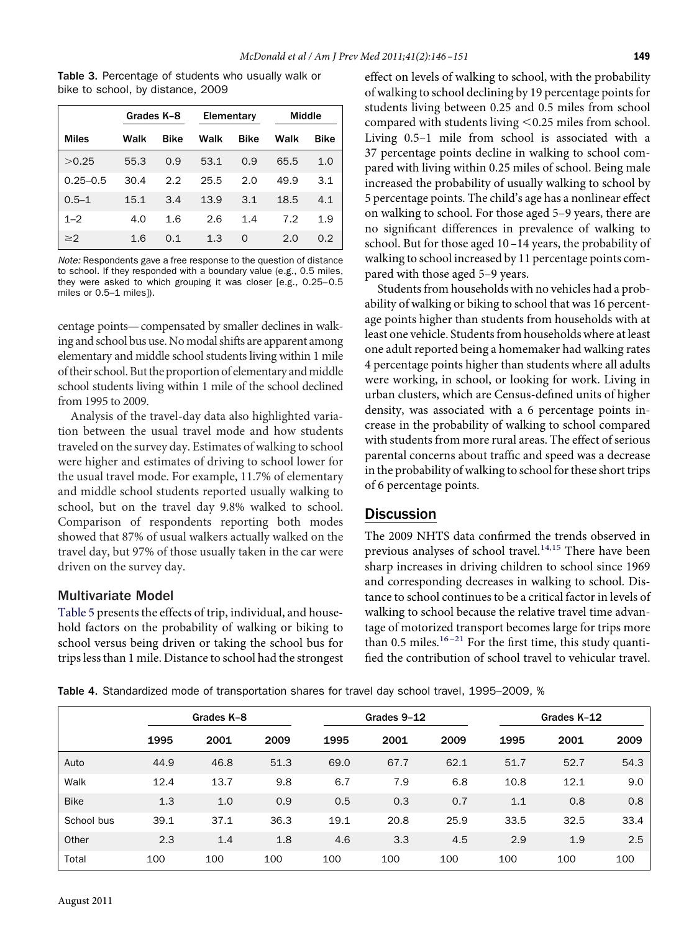<span id="page-3-0"></span>Table 3. Percentage of students who usually walk or bike to school, by distance, 2009

|              | Grades K-8 |             | Elementary |             | Middle |             |
|--------------|------------|-------------|------------|-------------|--------|-------------|
| <b>Miles</b> | Walk       | <b>Bike</b> | Walk       | <b>Bike</b> | Walk   | <b>Bike</b> |
| >0.25        | 55.3       | 0.9         | 53.1       | 0.9         | 65.5   | 1.0         |
| $0.25 - 0.5$ | 30.4       | 2.2         | 25.5       | 2.0         | 49.9   | 3.1         |
| $0.5 - 1$    | 15.1       | 3.4         | 13.9       | 3.1         | 18.5   | 4.1         |
| $1 - 2$      | 4.0        | 1.6         | 2.6        | 1.4         | 7.2    | 1.9         |
| $\geq$ 2     | 1.6        | 0.1         | 1.3        | $\Omega$    | 2.0    | 0.2         |

*Note:* Respondents gave a free response to the question of distance to school. If they responded with a boundary value (e.g., 0.5 miles, they were asked to which grouping it was closer [e.g., 0.25–0.5 miles or 0.5–1 miles]).

centage points—compensated by smaller declines in walking and school bus use. No modal shifts are apparent among elementary and middle school students living within 1 mile of their school. But the proportion of elementary and middle school students living within 1 mile of the school declined from 1995 to 2009.

Analysis of the travel-day data also highlighted variation between the usual travel mode and how students traveled on the survey day. Estimates of walking to school were higher and estimates of driving to school lower for the usual travel mode. For example, 11.7% of elementary and middle school students reported usually walking to school, but on the travel day 9.8% walked to school. Comparison of respondents reporting both modes showed that 87% of usual walkers actually walked on the travel day, but 97% of those usually taken in the car were driven on the survey day.

#### Multivariate Model

[Table 5](#page-4-0) presents the effects of trip, individual, and household factors on the probability of walking or biking to school versus being driven or taking the school bus for trips less than 1 mile. Distance to school had the strongest effect on levels of walking to school, with the probability of walking to school declining by 19 percentage points for students living between 0.25 and 0.5 miles from school compared with students living <0.25 miles from school. Living 0.5–1 mile from school is associated with a 37 percentage points decline in walking to school compared with living within 0.25 miles of school. Being male increased the probability of usually walking to school by 5 percentage points. The child's age has a nonlinear effect on walking to school. For those aged 5–9 years, there are no signifıcant differences in prevalence of walking to school. But for those aged 10 –14 years, the probability of walking to school increased by 11 percentage points compared with those aged 5–9 years.

Students from households with no vehicles had a probability of walking or biking to school that was 16 percentage points higher than students from households with at least one vehicle. Students from households where at least one adult reported being a homemaker had walking rates 4 percentage points higher than students where all adults were working, in school, or looking for work. Living in urban clusters, which are Census-defıned units of higher density, was associated with a 6 percentage points increase in the probability of walking to school compared with students from more rural areas. The effect of serious parental concerns about traffıc and speed was a decrease in the probability of walking to school for these short trips of 6 percentage points.

#### Discussion

The 2009 NHTS data confırmed the trends observed in previous analyses of school travel.<sup>[14,15](#page-5-10)</sup> There have been sharp increases in driving children to school since 1969 and corresponding decreases in walking to school. Distance to school continues to be a critical factor in levels of walking to school because the relative travel time advantage of motorized transport becomes large for trips more than 0.5 miles. $16 - 21$  For the first time, this study quantifıed the contribution of school travel to vehicular travel.

<span id="page-3-1"></span>Table 4. Standardized mode of transportation shares for travel day school travel, 1995–2009, %

|             |      | Grades K-8 |      |      | Grades 9-12 |      |      | Grades K-12 |      |  |
|-------------|------|------------|------|------|-------------|------|------|-------------|------|--|
|             | 1995 | 2001       | 2009 | 1995 | 2001        | 2009 | 1995 | 2001        | 2009 |  |
| Auto        | 44.9 | 46.8       | 51.3 | 69.0 | 67.7        | 62.1 | 51.7 | 52.7        | 54.3 |  |
| Walk        | 12.4 | 13.7       | 9.8  | 6.7  | 7.9         | 6.8  | 10.8 | 12.1        | 9.0  |  |
| <b>Bike</b> | 1.3  | 1.0        | 0.9  | 0.5  | 0.3         | 0.7  | 1.1  | 0.8         | 0.8  |  |
| School bus  | 39.1 | 37.1       | 36.3 | 19.1 | 20.8        | 25.9 | 33.5 | 32.5        | 33.4 |  |
| Other       | 2.3  | 1.4        | 1.8  | 4.6  | 3.3         | 4.5  | 2.9  | 1.9         | 2.5  |  |
| Total       | 100  | 100        | 100  | 100  | 100         | 100  | 100  | 100         | 100  |  |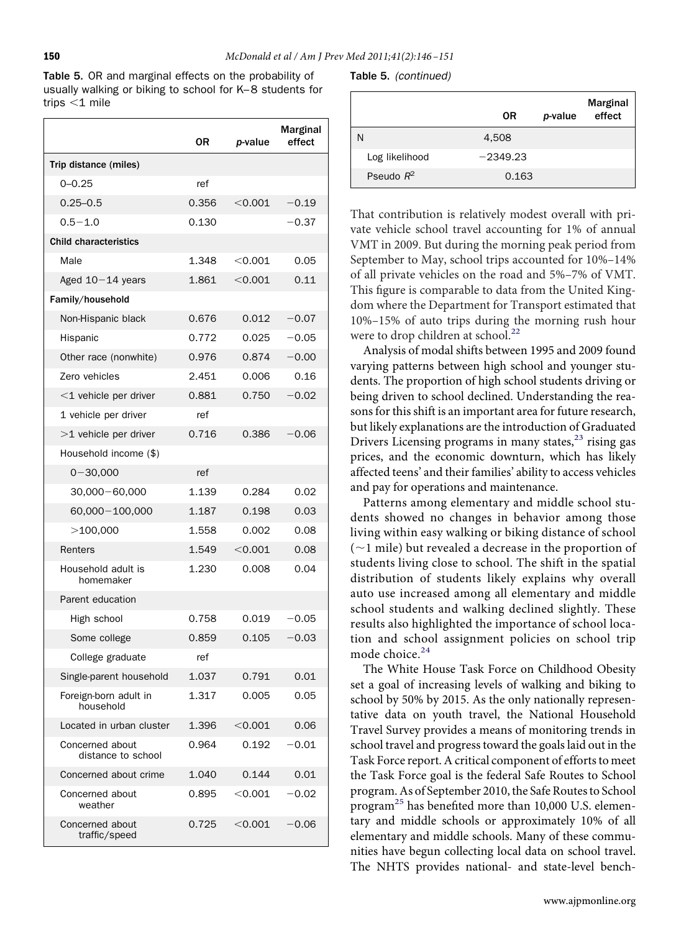<span id="page-4-0"></span>Table 5. OR and marginal effects on the probability of usually walking or biking to school for K–8 students for trips  $<$ 1 mile

|                                       | 0R    | p-value   | <b>Marginal</b><br>effect |
|---------------------------------------|-------|-----------|---------------------------|
| Trip distance (miles)                 |       |           |                           |
| $0 - 0.25$                            | ref   |           |                           |
| $0.25 - 0.5$                          | 0.356 | < 0.001   | $-0.19$                   |
| $0.5 - 1.0$                           | 0.130 |           | $-0.37$                   |
| <b>Child characteristics</b>          |       |           |                           |
| Male                                  | 1.348 | $<$ 0.001 | 0.05                      |
| Aged $10-14$ years                    | 1.861 | $<$ 0.001 | 0.11                      |
| Family/household                      |       |           |                           |
| Non-Hispanic black                    | 0.676 | 0.012     | $-0.07$                   |
| Hispanic                              | 0.772 | 0.025     | $-0.05$                   |
| Other race (nonwhite)                 | 0.976 | 0.874     | $-0.00$                   |
| <b>Zero</b> vehicles                  | 2.451 | 0.006     | 0.16                      |
| $<$ 1 vehicle per driver              | 0.881 | 0.750     | $-0.02$                   |
| 1 vehicle per driver                  | ref   |           |                           |
| $>1$ vehicle per driver               | 0.716 | 0.386     | $-0.06$                   |
| Household income (\$)                 |       |           |                           |
| $0 - 30,000$                          | ref   |           |                           |
| $30,000 - 60,000$                     | 1.139 | 0.284     | 0.02                      |
| 60,000 - 100,000                      | 1.187 | 0.198     | 0.03                      |
| $>$ 100,000                           | 1.558 | 0.002     | 0.08                      |
| Renters                               | 1.549 | $<$ 0.001 | 0.08                      |
| Household adult is<br>homemaker       | 1.230 | 0.008     | 0.04                      |
| Parent education                      |       |           |                           |
| High school                           | 0.758 | 0.019     | $-0.05$                   |
| Some college                          | 0.859 | 0.105     | $-0.03$                   |
| College graduate                      | ref   |           |                           |
| Single-parent household               | 1.037 | 0.791     | 0.01                      |
| Foreign-born adult in<br>household    | 1.317 | 0.005     | 0.05                      |
| Located in urban cluster              | 1.396 | $<$ 0.001 | 0.06                      |
| Concerned about<br>distance to school | 0.964 | 0.192     | 0.01                      |
| Concerned about crime                 | 1.040 | 0.144     | 0.01                      |
| Concerned about<br>weather            | 0.895 | $<$ 0.001 | 0.02                      |
| Concerned about<br>traffic/speed      | 0.725 | $<$ 0.001 | $-0.06$                   |

Table 5. *(continued)*

|                | 0R         | p-value | <b>Marginal</b><br>effect |
|----------------|------------|---------|---------------------------|
| N              | 4,508      |         |                           |
| Log likelihood | $-2349.23$ |         |                           |
| Pseudo $R^2$   | 0.163      |         |                           |

That contribution is relatively modest overall with private vehicle school travel accounting for 1% of annual VMT in 2009. But during the morning peak period from September to May, school trips accounted for 10%–14% of all private vehicles on the road and 5%–7% of VMT. This fıgure is comparable to data from the United Kingdom where the Department for Transport estimated that 10%–15% of auto trips during the morning rush hour were to drop children at school.<sup>[22](#page-5-12)</sup>

Analysis of modal shifts between 1995 and 2009 found varying patterns between high school and younger students. The proportion of high school students driving or being driven to school declined. Understanding the reasons for this shift is an important area for future research, but likely explanations are the introduction of Graduated Drivers Licensing programs in many states,<sup>[23](#page-5-13)</sup> rising gas prices, and the economic downturn, which has likely affected teens' and their families' ability to access vehicles and pay for operations and maintenance.

Patterns among elementary and middle school students showed no changes in behavior among those living within easy walking or biking distance of school  $(-1$  mile) but revealed a decrease in the proportion of students living close to school. The shift in the spatial distribution of students likely explains why overall auto use increased among all elementary and middle school students and walking declined slightly. These results also highlighted the importance of school location and school assignment policies on school trip mode choice.<sup>[24](#page-5-14)</sup>

The White House Task Force on Childhood Obesity set a goal of increasing levels of walking and biking to school by 50% by 2015. As the only nationally representative data on youth travel, the National Household Travel Survey provides a means of monitoring trends in school travel and progress toward the goals laid out in the Task Force report. A critical component of efforts to meet the Task Force goal is the federal Safe Routes to School program. As of September 2010, the Safe Routes to School program[25](#page-5-15) has benefıted more than 10,000 U.S. elementary and middle schools or approximately 10% of all elementary and middle schools. Many of these communities have begun collecting local data on school travel. The NHTS provides national- and state-level bench